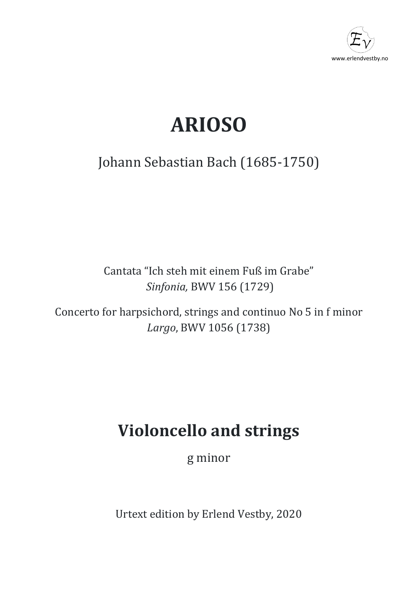

# **ARIOSO**

# Johann Sebastian Bach (1685-1750)

Cantata "Ich steh mit einem Fuß im Grabe" *Sinfonia,* BWV 156 (1729)

Concerto for harpsichord, strings and continuo No 5 in f minor *Largo*, BWV 1056 (1738)

# **Violoncello and strings**

g minor

Urtext edition by Erlend Vestby, 2020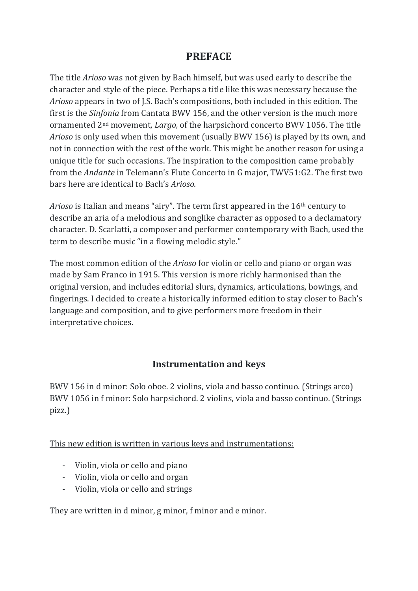# **PREFACE**

The title *Arioso* was not given by Bach himself, but was used early to describe the character and style of the piece. Perhaps a title like this was necessary because the *Arioso* appears in two of J.S. Bach's compositions, both included in this edition. The first is the *Sinfonia* from Cantata BWV 156, and the other version is the much more ornamented 2nd movement, *Largo,* of the harpsichord concerto BWV 1056. The title *Arioso* is only used when this movement (usually BWV 156) is played by its own, and not in connection with the rest of the work. This might be another reason for using a unique title for such occasions. The inspiration to the composition came probably from the *Andante* in Telemann's Flute Concerto in G major, TWV51:G2. The first two bars here are identical to Bach's *Arioso.* 

*Arioso* is Italian and means "airy". The term first appeared in the 16th century to describe an aria of a melodious and songlike character as opposed to a declamatory character. D. Scarlatti, a composer and performer contemporary with Bach, used the term to describe music "in a flowing melodic style."

The most common edition of the *Arioso* for violin or cello and piano or organ was made by Sam Franco in 1915. This version is more richly harmonised than the original version, and includes editorial slurs, dynamics, articulations, bowings, and fingerings. I decided to create a historically informed edition to stay closer to Bach's language and composition, and to give performers more freedom in their interpretative choices.

### **Instrumentation and keys**

BWV 156 in d minor: Solo oboe. 2 violins, viola and basso continuo. (Strings arco) BWV 1056 in f minor: Solo harpsichord. 2 violins, viola and basso continuo. (Strings pizz.)

This new edition is written in various keys and instrumentations:

- Violin, viola or cello and piano
- Violin, viola or cello and organ
- Violin, viola or cello and strings

They are written in d minor, g minor, f minor and e minor.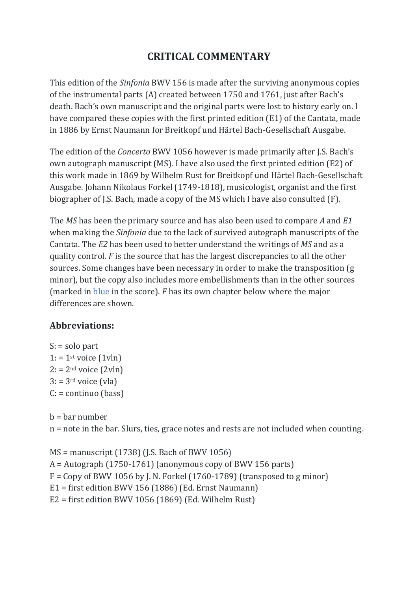# **CRITICAL COMMENTARY**

This edition of the *Sinfonia* BWV 156 is made after the surviving anonymous copies of the instrumental parts (A) created between 1750 and 1761, just after Bach's death. Bach's own manuscript and the original parts were lost to history early on. I have compared these copies with the first printed edition (E1) of the Cantata, made in 1886 by Ernst Naumann for Breitkopf und Härtel Bach-Gesellschaft Ausgabe.

The edition of the *Concerto* BWV 1056 however is made primarily after J.S. Bach's own autograph manuscript (MS). I have also used the first printed edition (E2) of this work made in 1869 by Wilhelm Rust for Breitkopf und Härtel Bach-Gesellschaft Ausgabe. Johann Nikolaus Forkel (1749-1818), musicologist, organist and the first biographer of J.S. Bach, made a copy of the MS which I have also consulted (F).

The *MS* has been the primary source and has also been used to compare *A* and *E1*  when making the *Sinfonia* due to the lack of survived autograph manuscripts of the Cantata. The *E2* has been used to better understand the writings of *MS* and as a quality control. *F* is the source that has the largest discrepancies to all the other sources. Some changes have been necessary in order to make the transposition (g minor), but the copy also includes more embellishments than in the other sources (marked in blue in the score). *F* has its own chapter below where the major differences are shown.

### **Abbreviations:**

S: = solo part  $1: = 1$ <sup>st</sup> voice  $(1vln)$  $2: = 2<sup>nd</sup>$  voice  $(2vln)$  $3: = 3<sup>rd</sup>$  voice (vla) C: = continuo (bass)

b = bar number n = note in the bar. Slurs, ties, grace notes and rests are not included when counting.

MS = manuscript (1738) (J.S. Bach of BWV 1056) A = Autograph (1750-1761) (anonymous copy of BWV 156 parts)  $F = Copy of BWW 1056 by I. N. Forkel (1760-1789) (transposed to g minor)$ E1 = first edition BWV 156 (1886) (Ed. Ernst Naumann) E2 = first edition BWV 1056 (1869) (Ed. Wilhelm Rust)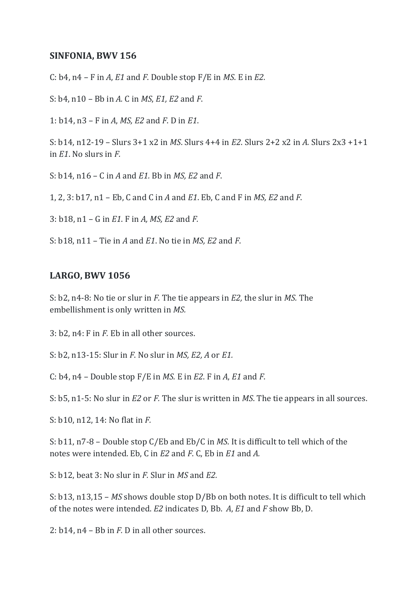#### **SINFONIA, BWV 156**

C: b4, n4 – F in *A*, *E1* and *F*. Double stop F/E in *MS*. E in *E2.*

S: b4, n10 – Bb in *A.* C in *MS*, *E1, E2* and *F*.

1: b14, n3 – F in *A*, *MS, E2* and *F*. D in *E1*.

S: b14, n12-19 – Slurs 3+1 x2 in *MS*. Slurs 4+4 in *E2*. Slurs 2+2 x2 in *A.* Slurs 2x3 +1+1 in *E1*. No slurs in *F.*

S: b14, n16 – C in *A* and *E1.* Bb in *MS, E2* and *F*.

1, 2, 3: b17, n1 – Eb, C and C in *A* and *E1*. Eb, C and F in *MS, E2* and *F*.

3: b18, n1 – G in *E1*. F in *A, MS, E2* and *F.*

S: b18, n11 – Tie in *A* and *E1*. No tie in *MS, E2* and *F*.

#### **LARGO, BWV 1056**

S: b2, n4-8: No tie or slur in *F.* The tie appears in *E2,* the slur in *MS.* The embellishment is only written in *MS.* 

3: b2, n4: F in *F.* Eb in all other sources.

S: b2, n13-15: Slur in *F*. No slur in *MS, E2, A* or *E1.*

C: b4, n4 – Double stop F/E in *MS.* E in *E2*. F in *A*, *E1* and *F*.

S: b5, n1-5: No slur in *E2* or *F.* The slur is written in *MS*. The tie appears in all sources.

S: b10, n12, 14: No flat in *F.* 

S: b11, n7-8 – Double stop C/Eb and Eb/C in *MS*. It is difficult to tell which of the notes were intended. Eb, C in *E2* and *F*. C, Eb in *E1* and *A.*

S: b12, beat 3: No slur in *F.* Slur in *MS* and *E2.*

S: b13, n13,15 – *MS* shows double stop D/Bb on both notes. It is difficult to tell which of the notes were intended. *E2* indicates D, Bb. *A*, *E1* and *F* show Bb, D.

2: b14, n4 – Bb in *F.* D in all other sources.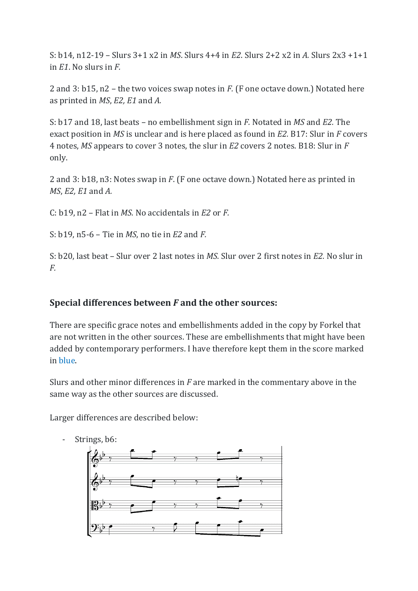S: b14, n12-19 – Slurs 3+1 x2 in *MS*. Slurs 4+4 in *E2*. Slurs 2+2 x2 in *A.* Slurs 2x3 +1+1 in *E1*. No slurs in *F.*

2 and 3: b15, n2 – the two voices swap notes in *F.* (F one octave down.) Notated here as printed in *MS*, *E2, E1* and *A.* 

S: b17 and 18, last beats – no embellishment sign in *F.* Notated in *MS* and *E2.* The exact position in *MS* is unclear and is here placed as found in *E2.* B17: Slur in *F* covers 4 notes, *MS* appears to cover 3 notes, the slur in *E2* covers 2 notes. B18: Slur in *F*  only.

2 and 3: b18, n3: Notes swap in *F*. (F one octave down.) Notated here as printed in *MS*, *E2, E1* and *A.* 

C: b19, n2 – Flat in *MS.* No accidentals in *E2* or *F.*

S: b19, n5-6 – Tie in *MS*, no tie in *E2* and *F.*

S: b20, last beat – Slur over 2 last notes in *MS.* Slur over 2 first notes in *E2.* No slur in *F.*

### **Special differences between** *F* **and the other sources:**

There are specific grace notes and embellishments added in the copy by Forkel that are not written in the other sources. These are embellishments that might have been added by contemporary performers. I have therefore kept them in the score marked in blue.

Slurs and other minor differences in *F* are marked in the commentary above in the same way as the other sources are discussed.

Larger differences are described below:

- 
- Strings, b6: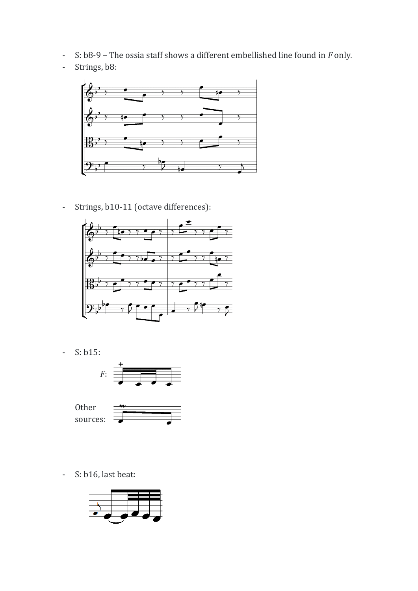- S: b8-9 The ossia staff shows a different embellished line found in *F* only*.*
- Strings, b8:



- Strings, b10-11 (octave differences):



- S: b15:





- S: b16, last beat:

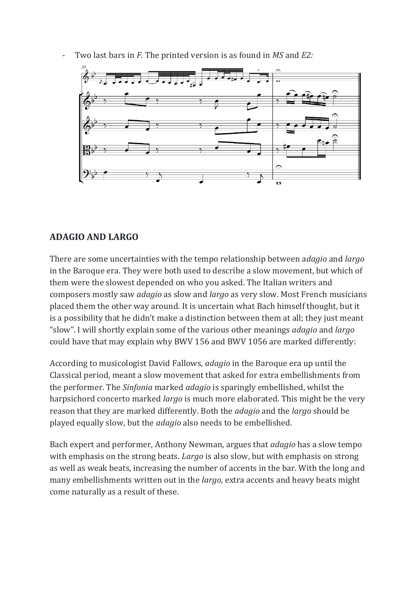- Two last bars in *F.* The printed version is as found in *MS* and *E2:*



### **ADAGIO AND LARGO**

There are some uncertainties with the tempo relationship between a*dagio* and *largo* in the Baroque era. They were both used to describe a slow movement, but which of them were the slowest depended on who you asked. The Italian writers and composers mostly saw *adagio* as slow and *largo* as very slow. Most French musicians placed them the other way around. It is uncertain what Bach himself thought, but it is a possibility that he didn't make a distinction between them at all; they just meant "slow". I will shortly explain some of the various other meanings *adagio* and *largo* could have that may explain why BWV 156 and BWV 1056 are marked differently:

According to musicologist David Fallows, *adagio* in the Baroque era up until the Classical period, meant a slow movement that asked for extra embellishments from the performer. The *Sinfonia* marked *adagio* is sparingly embellished, whilst the harpsichord concerto marked *largo* is much more elaborated. This might be the very reason that they are marked differently. Both the *adagio* and the *largo* should be played equally slow, but the *adagio* also needs to be embellished.

Bach expert and performer, Anthony Newman, argues that *adagio* has a slow tempo with emphasis on the strong beats. *Largo* is also slow, but with emphasis on strong as well as weak beats, increasing the number of accents in the bar. With the long and many embellishments written out in the *largo,* extra accents and heavy beats might come naturally as a result of these.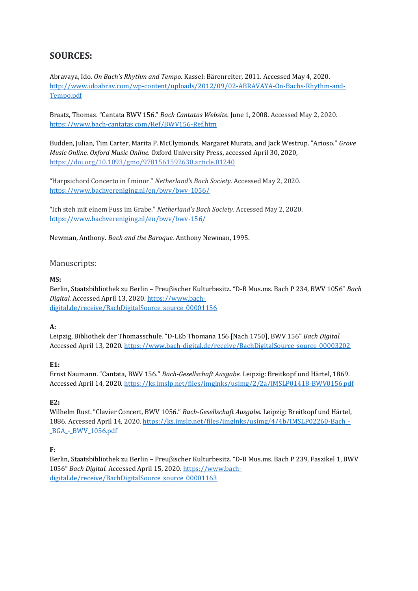#### **SOURCES:**

Abravaya, Ido. *On Bach's Rhythm and Tempo.* Kassel: Bärenreiter, 2011. Accessed May 4, 2020. [http://www.idoabrav.com/wp-content/uploads/2012/09/02-ABRAVAYA-On-Bachs-Rhythm-and-](http://www.idoabrav.com/wp-content/uploads/2012/09/02-ABRAVAYA-On-Bachs-Rhythm-and-Tempo.pdf)[Tempo.pdf](http://www.idoabrav.com/wp-content/uploads/2012/09/02-ABRAVAYA-On-Bachs-Rhythm-and-Tempo.pdf)

Braatz, Thomas. "Cantata BWV 156." *Bach Cantatas Website.* June 1, 2008. Accessed May 2, 2020. <https://www.bach-cantatas.com/Ref/BWV156-Ref.htm>

Budden, Julian, Tim Carter, Marita P. McClymonds, Margaret Murata, and Jack Westrup. "Arioso." *Grove Music Online. Oxford Music Online.* Oxford University Press, accessed April 30, 2020, <https://doi.org/10.1093/gmo/9781561592630.article.01240>

"Harpsichord Concerto in f minor." *Netherland's Bach Society.* Accessed May 2, 2020. <https://www.bachvereniging.nl/en/bwv/bwv-1056/>

"Ich steh mit einem Fuss im Grabe." *Netherland's Bach Society.* Accessed May 2, 2020. <https://www.bachvereniging.nl/en/bwv/bwv-156/>

Newman, Anthony. *Bach and the Baroque.* Anthony Newman, 1995.

#### Manuscripts:

#### **MS:**

Berlin, Staatsbibliothek zu Berlin – Preuβischer Kulturbesitz. "D-B Mus.ms. Bach P 234, BWV 1056" *Bach Digital.* Accessed April 13, 2020. [https://www.bach](https://www.bach-digital.de/receive/BachDigitalSource_source_00001156)[digital.de/receive/BachDigitalSource\\_source\\_00001156](https://www.bach-digital.de/receive/BachDigitalSource_source_00001156)

#### **A:**

Leipzig, Bibliothek der Thomasschule. "D-LEb Thomana 156 [Nach 1750], BWV 156" *Bach Digital.* Accessed April 13, 2020. [https://www.bach-digital.de/receive/BachDigitalSource\\_source\\_00003202](https://www.bach-digital.de/receive/BachDigitalSource_source_00003202)

#### **E1:**

Ernst Naumann. "Cantata, BWV 156." *Bach-Gesellschaft Ausgabe.* Leipzig: Breitkopf und Härtel, 1869. Accessed April 14, 2020.<https://ks.imslp.net/files/imglnks/usimg/2/2a/IMSLP01418-BWV0156.pdf>

#### **E2:**

Wilhelm Rust. "Clavier Concert, BWV 1056." *Bach-Gesellschaft Ausgabe.* Leipzig: Breitkopf und Härtel, 1886. Accessed April 14, 2020. [https://ks.imslp.net/files/imglnks/usimg/4/4b/IMSLP02260-Bach\\_-](https://ks.imslp.net/files/imglnks/usimg/4/4b/IMSLP02260-Bach_-_BGA_-_BWV_1056.pdf) [\\_BGA\\_-\\_BWV\\_1056.pdf](https://ks.imslp.net/files/imglnks/usimg/4/4b/IMSLP02260-Bach_-_BGA_-_BWV_1056.pdf)

**F:**

Berlin, Staatsbibliothek zu Berlin – Preuβischer Kulturbesitz. "D-B Mus.ms. Bach P 239, Faszikel 1, BWV 1056" *Bach Digital.* Accessed April 15, 2020. [https://www.bach](https://www.bach-digital.de/receive/BachDigitalSource_source_00001163)[digital.de/receive/BachDigitalSource\\_source\\_00001163](https://www.bach-digital.de/receive/BachDigitalSource_source_00001163)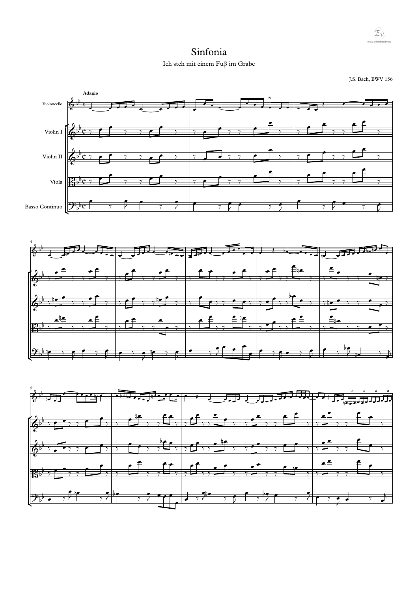

## Sinfonia

Ich steh mit einem Fuβ im Grabe

J.S. Bach, BWV 156

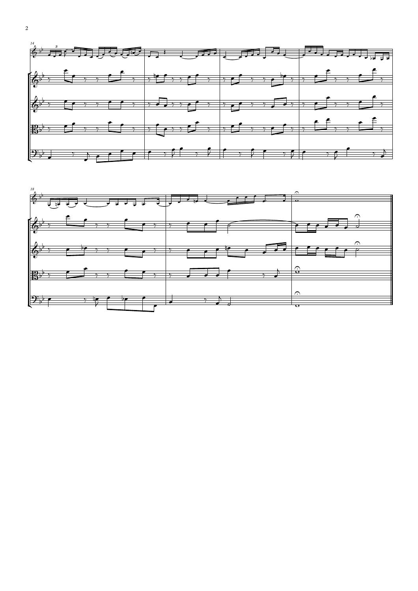

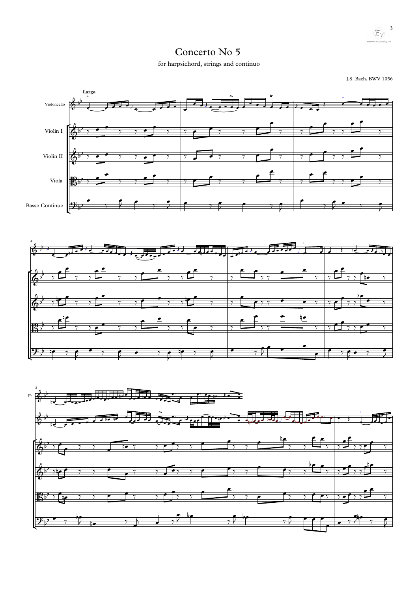Concerto No 5 for harpsichord, strings and continuo

J.S. Bach, BWV 1056







 $(E_{V})$ <sup>3</sup>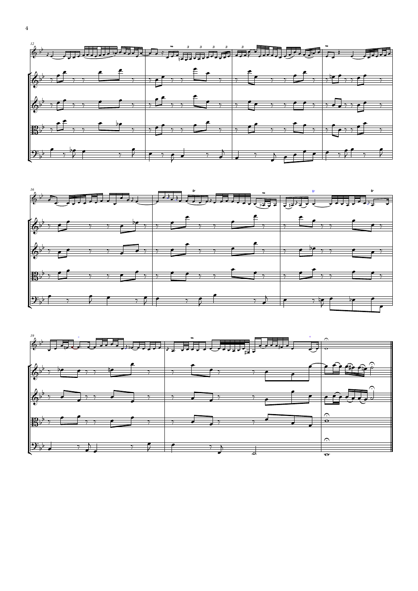



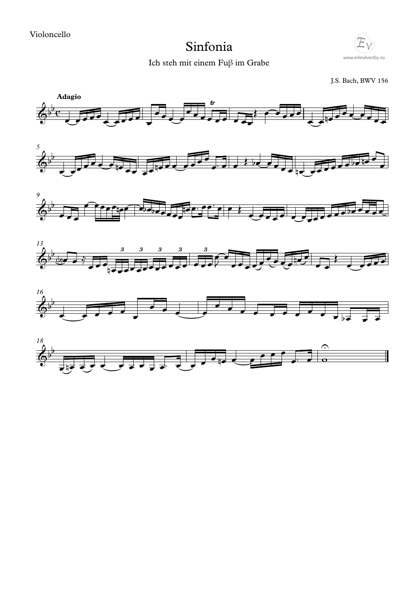



Ich steh mit einem Fuβ im Grabe

J.S. Bach, BWV 156